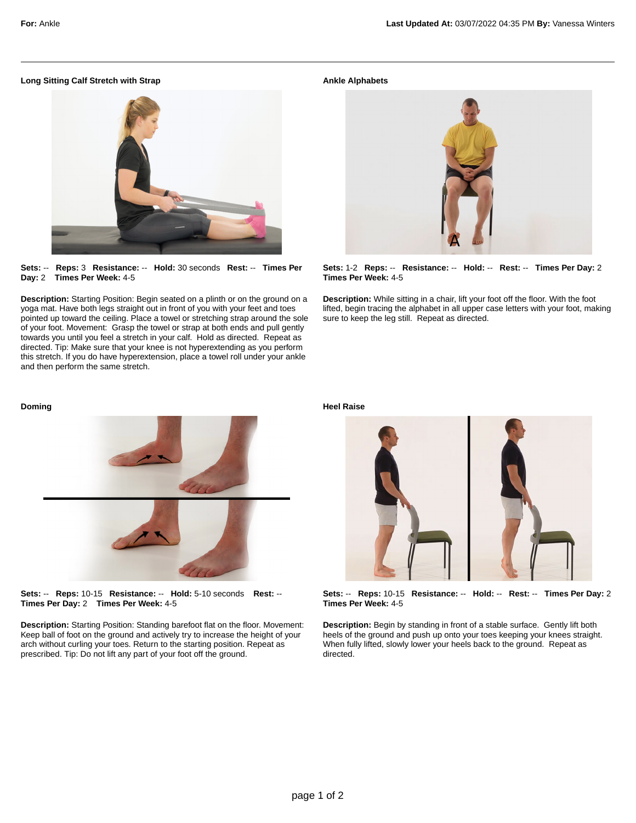# **Long Sitting Calf Stretch with Strap**



**Sets:** -- **Reps:** 3 **Resistance:** -- **Hold:** 30 seconds **Rest:** -- **Times Per Day:** 2 **Times Per Week:** 4-5

**Description:** Starting Position: Begin seated on a plinth or on the ground on a yoga mat. Have both legs straight out in front of you with your feet and toes pointed up toward the ceiling. Place a towel or stretching strap around the sole of your foot. Movement: Grasp the towel or strap at both ends and pull gently towards you until you feel a stretch in your calf. Hold as directed. Repeat as directed. Tip: Make sure that your knee is not hyperextending as you perform this stretch. If you do have hyperextension, place a towel roll under your ankle and then perform the same stretch.

### **Ankle Alphabets**



**Sets:** 1-2 **Reps:** -- **Resistance:** -- **Hold:** -- **Rest:** -- **Times Per Day:** 2 **Times Per Week:** 4-5

**Description:** While sitting in a chair, lift your foot off the floor. With the foot lifted, begin tracing the alphabet in all upper case letters with your foot, making sure to keep the leg still. Repeat as directed.

#### **Doming**



**Sets:** -- **Reps:** 10-15 **Resistance:** -- **Hold:** 5-10 seconds **Rest:** -- **Times Per Day:** 2 **Times Per Week:** 4-5

**Description:** Starting Position: Standing barefoot flat on the floor. Movement: Keep ball of foot on the ground and actively try to increase the height of your arch without curling your toes. Return to the starting position. Repeat as prescribed. Tip: Do not lift any part of your foot off the ground.

**Heel Raise**



**Sets:** -- **Reps:** 10-15 **Resistance:** -- **Hold:** -- **Rest:** -- **Times Per Day:** 2 **Times Per Week:** 4-5

**Description:** Begin by standing in front of a stable surface. Gently lift both heels of the ground and push up onto your toes keeping your knees straight. When fully lifted, slowly lower your heels back to the ground. Repeat as directed.